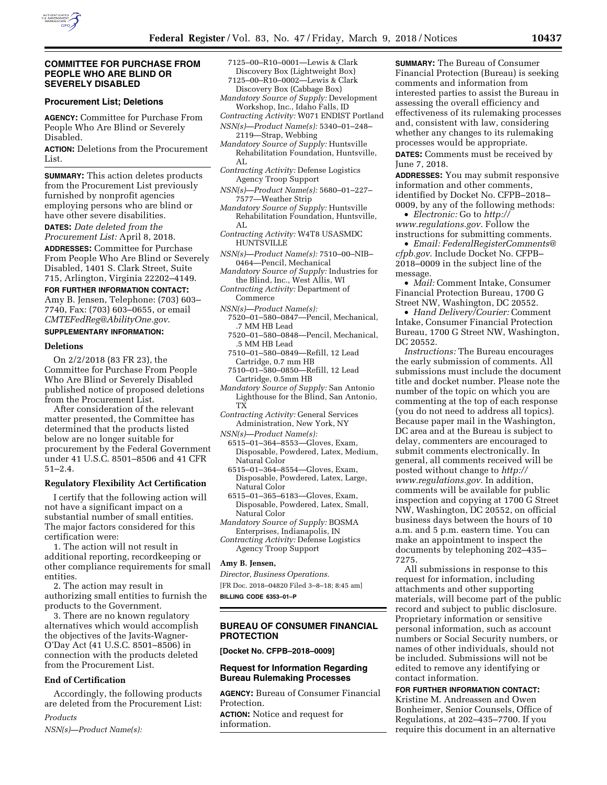

### **COMMITTEE FOR PURCHASE FROM PEOPLE WHO ARE BLIND OR SEVERELY DISABLED**

### **Procurement List; Deletions**

**AGENCY:** Committee for Purchase From People Who Are Blind or Severely Disabled.

**ACTION:** Deletions from the Procurement List.

**SUMMARY:** This action deletes products from the Procurement List previously furnished by nonprofit agencies employing persons who are blind or have other severe disabilities.

**DATES:** *Date deleted from the Procurement List:* April 8, 2018.

**ADDRESSES:** Committee for Purchase From People Who Are Blind or Severely Disabled, 1401 S. Clark Street, Suite 715, Arlington, Virginia 22202–4149.

#### **FOR FURTHER INFORMATION CONTACT:**

Amy B. Jensen, Telephone: (703) 603– 7740, Fax: (703) 603–0655, or email *[CMTEFedReg@AbilityOne.gov](mailto:CMTEFedReg@AbilityOne.gov)*.

# **SUPPLEMENTARY INFORMATION:**

## **Deletions**

On 2/2/2018 (83 FR 23), the Committee for Purchase From People Who Are Blind or Severely Disabled published notice of proposed deletions from the Procurement List.

After consideration of the relevant matter presented, the Committee has determined that the products listed below are no longer suitable for procurement by the Federal Government under 41 U.S.C. 8501–8506 and 41 CFR 51–2.4.

## **Regulatory Flexibility Act Certification**

I certify that the following action will not have a significant impact on a substantial number of small entities. The major factors considered for this certification were:

1. The action will not result in additional reporting, recordkeeping or other compliance requirements for small entities.

2. The action may result in authorizing small entities to furnish the products to the Government.

3. There are no known regulatory alternatives which would accomplish the objectives of the Javits-Wagner-O'Day Act (41 U.S.C. 8501–8506) in connection with the products deleted from the Procurement List.

## **End of Certification**

Accordingly, the following products are deleted from the Procurement List:

## *Products*

*NSN(s)—Product Name(s):* 

- 7125–00–R10–0001—Lewis & Clark Discovery Box (Lightweight Box) 7125–00–R10–0002—Lewis & Clark
- Discovery Box (Cabbage Box) *Mandatory Source of Supply:* Development
- Workshop, Inc., Idaho Falls, ID *Contracting Activity:* W071 ENDIST Portland
- *NSN(s)—Product Name(s):* 5340–01–248– 2119—Strap, Webbing
- *Mandatory Source of Supply:* Huntsville Rehabilitation Foundation, Huntsville, AL
- *Contracting Activity:* Defense Logistics Agency Troop Support
- *NSN(s)—Product Name(s):* 5680–01–227– 7577—Weather Strip
- *Mandatory Source of Supply:* Huntsville Rehabilitation Foundation, Huntsville, AL
- *Contracting Activity:* W4T8 USASMDC HUNTSVILLE
- *NSN(s)—Product Name(s):* 7510–00–NIB– 0464—Pencil, Mechanical

*Mandatory Source of Supply:* Industries for the Blind, Inc., West Allis, WI

- *Contracting Activity:* Department of Commerce
- *NSN(s)—Product Name(s):*
- 7520–01–580–0847—Pencil, Mechanical,
- .7 MM HB Lead
- 7520–01–580–0848—Pencil, Mechanical, .5 MM HB Lead
- 7510–01–580–0849—Refill, 12 Lead Cartridge, 0.7 mm HB
- 7510–01–580–0850—Refill, 12 Lead Cartridge, 0.5mm HB
- *Mandatory Source of Supply:* San Antonio Lighthouse for the Blind, San Antonio, TX
- *Contracting Activity:* General Services Administration, New York, NY
- *NSN(s)—Product Name(s):* 
	- 6515–01–364–8553—Gloves, Exam, Disposable, Powdered, Latex, Medium, Natural Color
	- 6515–01–364–8554—Gloves, Exam, Disposable, Powdered, Latex, Large, Natural Color
	- 6515–01–365–6183—Gloves, Exam, Disposable, Powdered, Latex, Small, Natural Color
- *Mandatory Source of Supply:* BOSMA Enterprises, Indianapolis, IN
- *Contracting Activity:* Defense Logistics Agency Troop Support

#### **Amy B. Jensen,**

*Director, Business Operations.* 

[FR Doc. 2018–04820 Filed 3–8–18; 8:45 am]

**BILLING CODE 6353–01–P** 

## **BUREAU OF CONSUMER FINANCIAL PROTECTION**

**[Docket No. CFPB–2018–0009]** 

## **Request for Information Regarding Bureau Rulemaking Processes**

**AGENCY:** Bureau of Consumer Financial Protection.

**ACTION:** Notice and request for information.

**SUMMARY:** The Bureau of Consumer Financial Protection (Bureau) is seeking comments and information from interested parties to assist the Bureau in assessing the overall efficiency and effectiveness of its rulemaking processes and, consistent with law, considering whether any changes to its rulemaking processes would be appropriate.

**DATES:** Comments must be received by June 7, 2018.

**ADDRESSES:** You may submit responsive information and other comments, identified by Docket No. CFPB–2018– 0009, by any of the following methods:

• *Electronic:* Go to *[http://](http://www.regulations.gov) [www.regulations.gov](http://www.regulations.gov)*. Follow the instructions for submitting comments.

• *Email: [FederalRegisterComments@](mailto:FederalRegisterComments@cfpb.gov) [cfpb.gov](mailto:FederalRegisterComments@cfpb.gov)*. Include Docket No. CFPB– 2018–0009 in the subject line of the message.

• *Mail:* Comment Intake, Consumer Financial Protection Bureau, 1700 G Street NW, Washington, DC 20552.

• *Hand Delivery/Courier:* Comment Intake, Consumer Financial Protection Bureau, 1700 G Street NW, Washington, DC 20552.

*Instructions:* The Bureau encourages the early submission of comments. All submissions must include the document title and docket number. Please note the number of the topic on which you are commenting at the top of each response (you do not need to address all topics). Because paper mail in the Washington, DC area and at the Bureau is subject to delay, commenters are encouraged to submit comments electronically. In general, all comments received will be posted without change to *[http://](http://www.regulations.gov) [www.regulations.gov](http://www.regulations.gov)*. In addition, comments will be available for public inspection and copying at 1700 G Street NW, Washington, DC 20552, on official business days between the hours of 10 a.m. and 5 p.m. eastern time. You can make an appointment to inspect the documents by telephoning 202–435– 7275.

All submissions in response to this request for information, including attachments and other supporting materials, will become part of the public record and subject to public disclosure. Proprietary information or sensitive personal information, such as account numbers or Social Security numbers, or names of other individuals, should not be included. Submissions will not be edited to remove any identifying or contact information.

#### **FOR FURTHER INFORMATION CONTACT:**  Kristine M. Andreassen and Owen

Bonheimer, Senior Counsels, Office of Regulations, at 202–435–7700. If you require this document in an alternative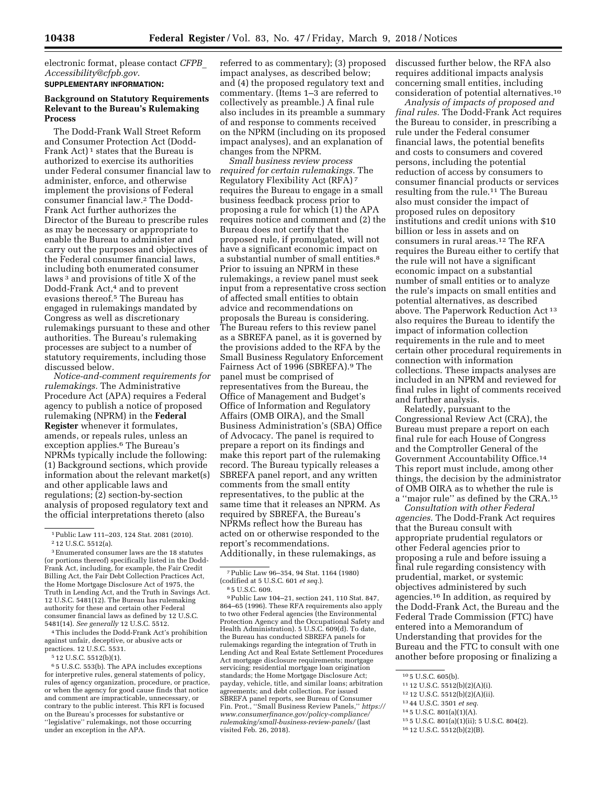electronic format, please contact *[CFPB](mailto:CFPB_Accessibility@cfpb.gov)*\_ *[Accessibility@cfpb.gov](mailto:CFPB_Accessibility@cfpb.gov)*. **SUPPLEMENTARY INFORMATION:** 

### **Background on Statutory Requirements Relevant to the Bureau's Rulemaking Process**

The Dodd-Frank Wall Street Reform and Consumer Protection Act (Dodd-Frank Act)<sup>1</sup> states that the Bureau is authorized to exercise its authorities under Federal consumer financial law to administer, enforce, and otherwise implement the provisions of Federal consumer financial law.2 The Dodd-Frank Act further authorizes the Director of the Bureau to prescribe rules as may be necessary or appropriate to enable the Bureau to administer and carry out the purposes and objectives of the Federal consumer financial laws, including both enumerated consumer laws 3 and provisions of title X of the Dodd-Frank Act,4 and to prevent evasions thereof.5 The Bureau has engaged in rulemakings mandated by Congress as well as discretionary rulemakings pursuant to these and other authorities. The Bureau's rulemaking processes are subject to a number of statutory requirements, including those discussed below.

*Notice-and-comment requirements for rulemakings.* The Administrative Procedure Act (APA) requires a Federal agency to publish a notice of proposed rulemaking (NPRM) in the **Federal Register** whenever it formulates, amends, or repeals rules, unless an exception applies.6 The Bureau's NPRMs typically include the following: (1) Background sections, which provide information about the relevant market(s) and other applicable laws and regulations; (2) section-by-section analysis of proposed regulatory text and the official interpretations thereto (also

4This includes the Dodd-Frank Act's prohibition against unfair, deceptive, or abusive acts or practices. 12 U.S.C. 5531.

5 12 U.S.C. 5512(b)(1).

6 5 U.S.C. 553(b). The APA includes exceptions for interpretive rules, general statements of policy, rules of agency organization, procedure, or practice, or when the agency for good cause finds that notice and comment are impracticable, unnecessary, or contrary to the public interest. This RFI is focused on the Bureau's processes for substantive or ''legislative'' rulemakings, not those occurring under an exception in the APA.

referred to as commentary); (3) proposed impact analyses, as described below; and (4) the proposed regulatory text and commentary. (Items 1–3 are referred to collectively as preamble.) A final rule also includes in its preamble a summary of and response to comments received on the NPRM (including on its proposed impact analyses), and an explanation of changes from the NPRM.

*Small business review process required for certain rulemakings.* The Regulatory Flexibility Act (RFA) 7 requires the Bureau to engage in a small business feedback process prior to proposing a rule for which (1) the APA requires notice and comment and (2) the Bureau does not certify that the proposed rule, if promulgated, will not have a significant economic impact on a substantial number of small entities.8 Prior to issuing an NPRM in these rulemakings, a review panel must seek input from a representative cross section of affected small entities to obtain advice and recommendations on proposals the Bureau is considering. The Bureau refers to this review panel as a SBREFA panel, as it is governed by the provisions added to the RFA by the Small Business Regulatory Enforcement Fairness Act of 1996 (SBREFA).9 The panel must be comprised of representatives from the Bureau, the Office of Management and Budget's Office of Information and Regulatory Affairs (OMB OIRA), and the Small Business Administration's (SBA) Office of Advocacy. The panel is required to prepare a report on its findings and make this report part of the rulemaking record. The Bureau typically releases a SBREFA panel report, and any written comments from the small entity representatives, to the public at the same time that it releases an NPRM. As required by SBREFA, the Bureau's NPRMs reflect how the Bureau has acted on or otherwise responded to the report's recommendations. Additionally, in these rulemakings, as

9Public Law 104–21, section 241, 110 Stat. 847, 864–65 (1996). These RFA requirements also apply to two other Federal agencies (the Environmental Protection Agency and the Occupational Safety and Health Administration). 5 U.S.C. 609(d). To date, the Bureau has conducted SBREFA panels for rulemakings regarding the integration of Truth in Lending Act and Real Estate Settlement Procedures Act mortgage disclosure requirements; mortgage servicing; residential mortgage loan origination standards; the Home Mortgage Disclosure Act; payday, vehicle, title, and similar loans; arbitration agreements; and debt collection. For issued SBREFA panel reports, see Bureau of Consumer Fin. Prot., ''Small Business Review Panels,'' *[https://](https://www.consumerfinance.gov/policy-compliance/rulemaking/small-business-review-panels/)  [www.consumerfinance.gov/policy-compliance/](https://www.consumerfinance.gov/policy-compliance/rulemaking/small-business-review-panels/) [rulemaking/small-business-review-panels/](https://www.consumerfinance.gov/policy-compliance/rulemaking/small-business-review-panels/)* (last visited Feb. 26, 2018).

discussed further below, the RFA also requires additional impacts analysis concerning small entities, including consideration of potential alternatives.10

*Analysis of impacts of proposed and final rules.* The Dodd-Frank Act requires the Bureau to consider, in prescribing a rule under the Federal consumer financial laws, the potential benefits and costs to consumers and covered persons, including the potential reduction of access by consumers to consumer financial products or services resulting from the rule.11 The Bureau also must consider the impact of proposed rules on depository institutions and credit unions with \$10 billion or less in assets and on consumers in rural areas.12 The RFA requires the Bureau either to certify that the rule will not have a significant economic impact on a substantial number of small entities or to analyze the rule's impacts on small entities and potential alternatives, as described above. The Paperwork Reduction Act 13 also requires the Bureau to identify the impact of information collection requirements in the rule and to meet certain other procedural requirements in connection with information collections. These impacts analyses are included in an NPRM and reviewed for final rules in light of comments received and further analysis.

Relatedly, pursuant to the Congressional Review Act (CRA), the Bureau must prepare a report on each final rule for each House of Congress and the Comptroller General of the Government Accountability Office.14 This report must include, among other things, the decision by the administrator of OMB OIRA as to whether the rule is a ''major rule'' as defined by the CRA.15

*Consultation with other Federal agencies.* The Dodd-Frank Act requires that the Bureau consult with appropriate prudential regulators or other Federal agencies prior to proposing a rule and before issuing a final rule regarding consistency with prudential, market, or systemic objectives administered by such agencies.16 In addition, as required by the Dodd-Frank Act, the Bureau and the Federal Trade Commission (FTC) have entered into a Memorandum of Understanding that provides for the Bureau and the FTC to consult with one another before proposing or finalizing a

- 13 44 U.S.C. 3501 *et seq.*
- 14 5 U.S.C. 801(a)(1)(A).
- 15 5 U.S.C. 801(a)(1)(ii); 5 U.S.C. 804(2).
- 16 12 U.S.C. 5512(b)(2)(B).

<sup>1</sup>Public Law 111–203, 124 Stat. 2081 (2010). 2 12 U.S.C. 5512(a).

<sup>3</sup>Enumerated consumer laws are the 18 statutes (or portions thereof) specifically listed in the Dodd-Frank Act, including, for example, the Fair Credit Billing Act, the Fair Debt Collection Practices Act, the Home Mortgage Disclosure Act of 1975, the Truth in Lending Act, and the Truth in Savings Act. 12 U.S.C. 5481(12). The Bureau has rulemaking authority for these and certain other Federal consumer financial laws as defined by 12 U.S.C. 5481(14). *See generally* 12 U.S.C. 5512.

<sup>7</sup>Public Law 96–354, 94 Stat. 1164 (1980) (codified at 5 U.S.C. 601 *et seq.*). 8 5 U.S.C. 609.

<sup>10</sup> 5 U.S.C. 605(b).

<sup>11</sup> 12 U.S.C. 5512(b)(2)(A)(i).

<sup>12</sup> 12 U.S.C. 5512(b)(2)(A)(ii).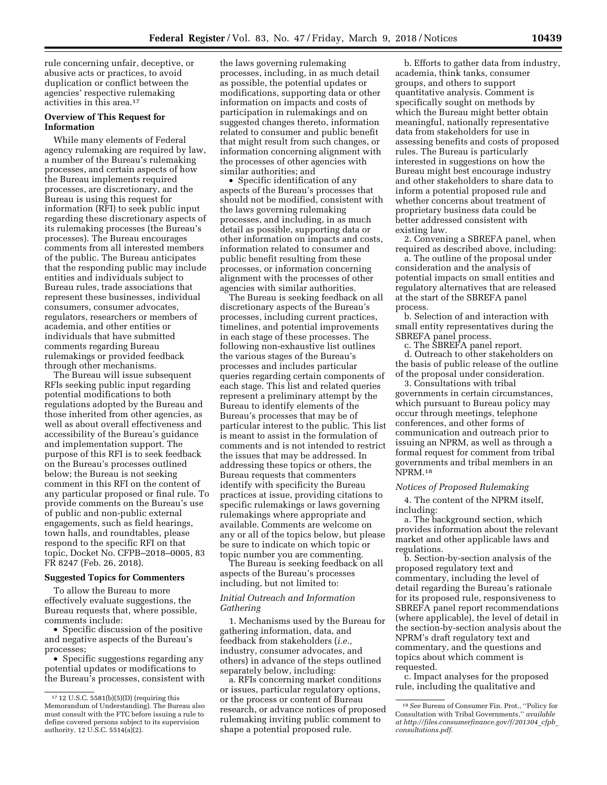rule concerning unfair, deceptive, or abusive acts or practices, to avoid duplication or conflict between the agencies' respective rulemaking activities in this area.17

### **Overview of This Request for Information**

While many elements of Federal agency rulemaking are required by law, a number of the Bureau's rulemaking processes, and certain aspects of how the Bureau implements required processes, are discretionary, and the Bureau is using this request for information (RFI) to seek public input regarding these discretionary aspects of its rulemaking processes (the Bureau's processes). The Bureau encourages comments from all interested members of the public. The Bureau anticipates that the responding public may include entities and individuals subject to Bureau rules, trade associations that represent these businesses, individual consumers, consumer advocates, regulators, researchers or members of academia, and other entities or individuals that have submitted comments regarding Bureau rulemakings or provided feedback through other mechanisms.

The Bureau will issue subsequent RFIs seeking public input regarding potential modifications to both regulations adopted by the Bureau and those inherited from other agencies, as well as about overall effectiveness and accessibility of the Bureau's guidance and implementation support. The purpose of this RFI is to seek feedback on the Bureau's processes outlined below; the Bureau is not seeking comment in this RFI on the content of any particular proposed or final rule. To provide comments on the Bureau's use of public and non-public external engagements, such as field hearings, town halls, and roundtables, please respond to the specific RFI on that topic, Docket No. CFPB–2018–0005, 83 FR 8247 (Feb. 26, 2018).

### **Suggested Topics for Commenters**

To allow the Bureau to more effectively evaluate suggestions, the Bureau requests that, where possible, comments include:

• Specific discussion of the positive and negative aspects of the Bureau's processes;

• Specific suggestions regarding any potential updates or modifications to the Bureau's processes, consistent with the laws governing rulemaking processes, including, in as much detail as possible, the potential updates or modifications, supporting data or other information on impacts and costs of participation in rulemakings and on suggested changes thereto, information related to consumer and public benefit that might result from such changes, or information concerning alignment with the processes of other agencies with similar authorities; and

• Specific identification of any aspects of the Bureau's processes that should not be modified, consistent with the laws governing rulemaking processes, and including, in as much detail as possible, supporting data or other information on impacts and costs, information related to consumer and public benefit resulting from these processes, or information concerning alignment with the processes of other agencies with similar authorities.

The Bureau is seeking feedback on all discretionary aspects of the Bureau's processes, including current practices, timelines, and potential improvements in each stage of these processes. The following non-exhaustive list outlines the various stages of the Bureau's processes and includes particular queries regarding certain components of each stage. This list and related queries represent a preliminary attempt by the Bureau to identify elements of the Bureau's processes that may be of particular interest to the public. This list is meant to assist in the formulation of comments and is not intended to restrict the issues that may be addressed. In addressing these topics or others, the Bureau requests that commenters identify with specificity the Bureau practices at issue, providing citations to specific rulemakings or laws governing rulemakings where appropriate and available. Comments are welcome on any or all of the topics below, but please be sure to indicate on which topic or topic number you are commenting.

The Bureau is seeking feedback on all aspects of the Bureau's processes including, but not limited to:

#### *Initial Outreach and Information Gathering*

1. Mechanisms used by the Bureau for gathering information, data, and feedback from stakeholders (*i.e.,*  industry, consumer advocates, and others) in advance of the steps outlined separately below, including:

a. RFIs concerning market conditions or issues, particular regulatory options, or the process or content of Bureau research, or advance notices of proposed rulemaking inviting public comment to shape a potential proposed rule.

b. Efforts to gather data from industry, academia, think tanks, consumer groups, and others to support quantitative analysis. Comment is specifically sought on methods by which the Bureau might better obtain meaningful, nationally representative data from stakeholders for use in assessing benefits and costs of proposed rules. The Bureau is particularly interested in suggestions on how the Bureau might best encourage industry and other stakeholders to share data to inform a potential proposed rule and whether concerns about treatment of proprietary business data could be better addressed consistent with existing law.

2. Convening a SBREFA panel, when required as described above, including:

a. The outline of the proposal under consideration and the analysis of potential impacts on small entities and regulatory alternatives that are released at the start of the SBREFA panel process.

b. Selection of and interaction with small entity representatives during the SBREFA panel process.

c. The SBREFA panel report.

d. Outreach to other stakeholders on the basis of public release of the outline of the proposal under consideration.

3. Consultations with tribal governments in certain circumstances, which pursuant to Bureau policy may occur through meetings, telephone conferences, and other forms of communication and outreach prior to issuing an NPRM, as well as through a formal request for comment from tribal governments and tribal members in an NPRM.18

#### *Notices of Proposed Rulemaking*

4. The content of the NPRM itself, including:

a. The background section, which provides information about the relevant market and other applicable laws and regulations.

b. Section-by-section analysis of the proposed regulatory text and commentary, including the level of detail regarding the Bureau's rationale for its proposed rule, responsiveness to SBREFA panel report recommendations (where applicable), the level of detail in the section-by-section analysis about the NPRM's draft regulatory text and commentary, and the questions and topics about which comment is requested.

c. Impact analyses for the proposed rule, including the qualitative and

<sup>17</sup> 12 U.S.C. 5581(b)(5)(D) (requiring this Memorandum of Understanding). The Bureau also must consult with the FTC before issuing a rule to define covered persons subject to its supervision authority. 12 U.S.C. 5514(a)(2).

<sup>18</sup>*See* Bureau of Consumer Fin. Prot., ''Policy for Consultation with Tribal Governments,'' *available at [http://files.consumerfinance.gov/f/201304](http://files.consumerfinance.gov/f/201304_cfpb_consultations.pdf)*\_*cfpb*\_ *[consultations.pdf.](http://files.consumerfinance.gov/f/201304_cfpb_consultations.pdf)*